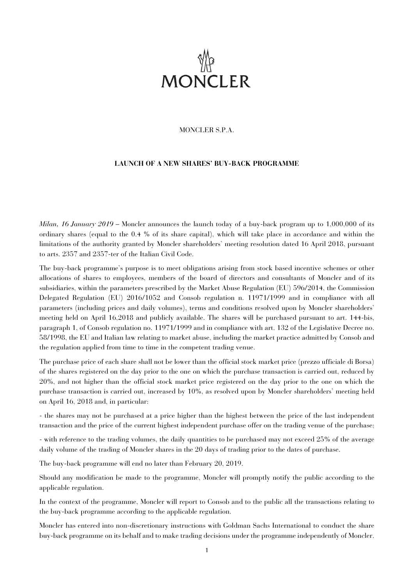

#### MONCLER S.P.A.

## **LAUNCH OF A NEW SHARES' BUY-BACK PROGRAMME**

*Milan, 16 January 2019* – Moncler announces the launch today of a buy-back program up to 1,000,000 of its ordinary shares (equal to the 0.4 % of its share capital), which will take place in accordance and within the limitations of the authority granted by Moncler shareholders' meeting resolution dated 16 April 2018, pursuant to arts. 2357 and 2357-ter of the Italian Civil Code.

The buy-back programme's purpose is to meet obligations arising from stock based incentive schemes or other allocations of shares to employees, members of the board of directors and consultants of Moncler and of its subsidiaries, within the parameters prescribed by the Market Abuse Regulation (EU) 596/2014, the Commission Delegated Regulation (EU) 2016/1052 and Consob regulation n. 11971/1999 and in compliance with all parameters (including prices and daily volumes), terms and conditions resolved upon by Moncler shareholders' meeting held on April 16,2018 and publicly available. The shares will be purchased pursuant to art. 144-bis, paragraph 1, of Consob regulation no. 11971/1999 and in compliance with art. 132 of the Legislative Decree no. 58/1998, the EU and Italian law relating to market abuse, including the market practice admitted by Consob and the regulation applied from time to time in the competent trading venue.

The purchase price of each share shall not be lower than the official stock market price (prezzo ufficiale di Borsa) of the shares registered on the day prior to the one on which the purchase transaction is carried out, reduced by 20%, and not higher than the official stock market price registered on the day prior to the one on which the purchase transaction is carried out, increased by 10%, as resolved upon by Moncler shareholders' meeting held on April 16, 2018 and, in particular:

- the shares may not be purchased at a price higher than the highest between the price of the last independent transaction and the price of the current highest independent purchase offer on the trading venue of the purchase;

- with reference to the trading volumes, the daily quantities to be purchased may not exceed 25% of the average daily volume of the trading of Moncler shares in the 20 days of trading prior to the dates of purchase.

The buy-back programme will end no later than February 20, 2019.

Should any modification be made to the programme, Moncler will promptly notify the public according to the applicable regulation.

In the context of the programme, Moncler will report to Consob and to the public all the transactions relating to the buy-back programme according to the applicable regulation.

Moncler has entered into non-discretionary instructions with Goldman Sachs International to conduct the share buy-back programme on its behalf and to make trading decisions under the programme independently of Moncler.